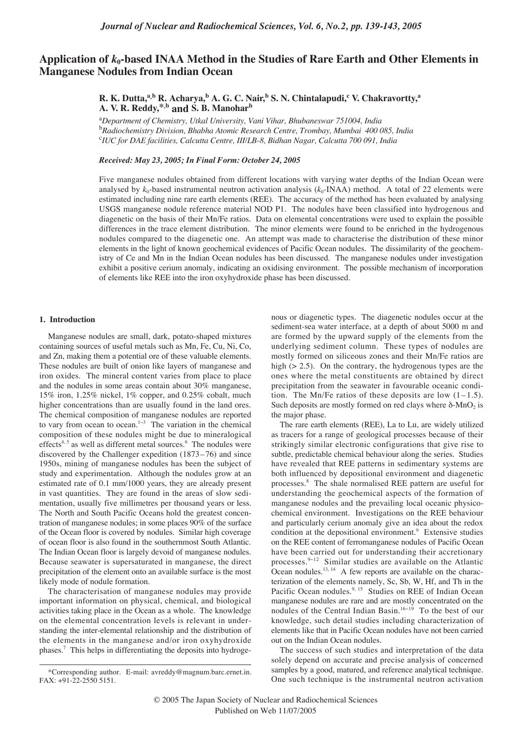# **Application of** *k***0-based INAA Method in the Studies of Rare Earth and Other Elements in Manganese Nodules from Indian Ocean**

## **R. K. Dutta,a,b R. Acharya,<sup>b</sup> A. G. C. Nair,b S. N. Chintalapudi,<sup>c</sup> V. Chakravortty,a A. V. R. Reddy,\*,b and S. B. Manohar<sup>b</sup>**

a *Department of Chemistry, Utkal University, Vani Vihar, Bhubaneswar 751004, India* b *Radiochemistry Division, Bhabha Atomic Research Centre, Trombay, Mumbai 400 085, India* c *IUC for DAE facilities, Calcutta Centre, III/LB-8, Bidhan Nagar, Calcutta 700 091, India*

### *Received: May 23, 2005; In Final Form: October 24, 2005*

Five manganese nodules obtained from different locations with varying water depths of the Indian Ocean were analysed by  $k_0$ -based instrumental neutron activation analysis  $(k_0$ -INAA) method. A total of 22 elements were estimated including nine rare earth elements (REE). The accuracy of the method has been evaluated by analysing USGS manganese nodule reference material NOD P1. The nodules have been classified into hydrogenous and diagenetic on the basis of their Mn/Fe ratios. Data on elemental concentrations were used to explain the possible differences in the trace element distribution. The minor elements were found to be enriched in the hydrogenous nodules compared to the diagenetic one. An attempt was made to characterise the distribution of these minor elements in the light of known geochemical evidences of Pacific Ocean nodules. The dissimilarity of the geochemistry of Ce and Mn in the Indian Ocean nodules has been discussed. The manganese nodules under investigation exhibit a positive cerium anomaly, indicating an oxidising environment. The possible mechanism of incorporation of elements like REE into the iron oxyhydroxide phase has been discussed.

#### **1. Introduction**

Manganese nodules are small, dark, potato-shaped mixtures containing sources of useful metals such as Mn, Fe, Cu, Ni, Co, and Zn, making them a potential ore of these valuable elements. These nodules are built of onion like layers of manganese and iron oxides. The mineral content varies from place to place and the nodules in some areas contain about 30% manganese, 15% iron, 1.25% nickel, 1% copper, and 0.25% cobalt, much higher concentrations than are usually found in the land ores. The chemical composition of manganese nodules are reported to vary from ocean to ocean.1−<sup>3</sup> The variation in the chemical composition of these nodules might be due to mineralogical effects<sup>4, 5</sup> as well as different metal sources.<sup>6</sup> The nodules were discovered by the Challenger expedition (1873–76) and since 1950s, mining of manganese nodules has been the subject of study and experimentation. Although the nodules grow at an estimated rate of 0.1 mm/1000 years, they are already present in vast quantities. They are found in the areas of slow sedimentation, usually five millimetres per thousand years or less. The North and South Pacific Oceans hold the greatest concentration of manganese nodules; in some places 90% of the surface of the Ocean floor is covered by nodules. Similar high coverage of ocean floor is also found in the southernmost South Atlantic. The Indian Ocean floor is largely devoid of manganese nodules. Because seawater is supersaturated in manganese, the direct precipitation of the element onto an available surface is the most likely mode of nodule formation.

The characterisation of manganese nodules may provide important information on physical, chemical, and biological activities taking place in the Ocean as a whole. The knowledge on the elemental concentration levels is relevant in understanding the inter-elemental relationship and the distribution of the elements in the manganese and/or iron oxyhydroxide phases.7 This helps in differentiating the deposits into hydroge-

nous or diagenetic types. The diagenetic nodules occur at the sediment-sea water interface, at a depth of about 5000 m and are formed by the upward supply of the elements from the underlying sediment column. These types of nodules are mostly formed on siliceous zones and their Mn/Fe ratios are high (> 2.5). On the contrary, the hydrogenous types are the ones where the metal constituents are obtained by direct precipitation from the seawater in favourable oceanic condition. The Mn/Fe ratios of these deposits are low  $(1-1.5)$ . Such deposits are mostly formed on red clays where  $\delta$ -MnO<sub>2</sub> is the major phase.

The rare earth elements (REE), La to Lu, are widely utilized as tracers for a range of geological processes because of their strikingly similar electronic configurations that give rise to subtle, predictable chemical behaviour along the series. Studies have revealed that REE patterns in sedimentary systems are both influenced by depositional environment and diagenetic processes.8 The shale normalised REE pattern are useful for understanding the geochemical aspects of the formation of manganese nodules and the prevailing local oceanic physicochemical environment. Investigations on the REE behaviour and particularly cerium anomaly give an idea about the redox condition at the depositional environment.<sup>9</sup> Extensive studies on the REE content of ferromanganese nodules of Pacific Ocean have been carried out for understanding their accretionary processes.9−<sup>12</sup> Similar studies are available on the Atlantic Ocean nodules.<sup>13, 14</sup> A few reports are available on the characterization of the elements namely, Sc, Sb, W, Hf, and Th in the Pacific Ocean nodules.<sup>9, 15</sup> Studies on REE of Indian Ocean manganese nodules are rare and are mostly concentrated on the nodules of the Central Indian Basin.<sup>16−19</sup> To the best of our knowledge, such detail studies including characterization of elements like that in Pacific Ocean nodules have not been carried out on the Indian Ocean nodules.

The success of such studies and interpretation of the data solely depend on accurate and precise analysis of concerned samples by a good, matured, and reference analytical technique. One such technique is the instrumental neutron activation

<sup>\*</sup>Corresponding author. E-mail: avreddy@magnum.barc.ernet.in. FAX: +91-22-2550 5151.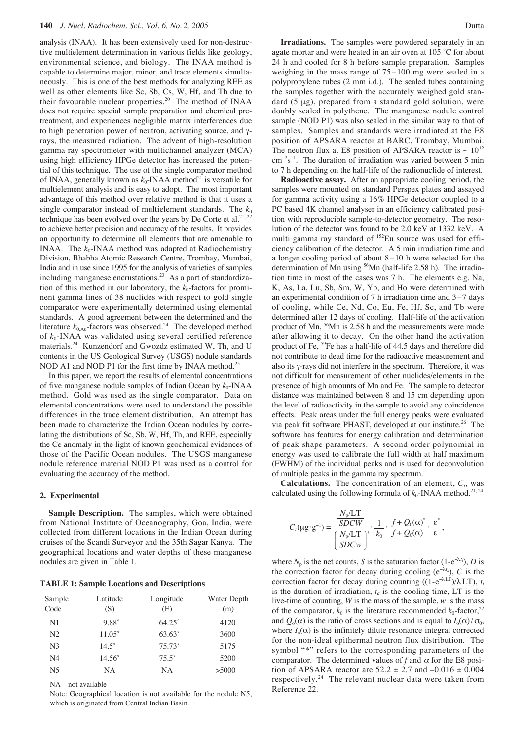analysis (INAA). It has been extensively used for non-destructive multielement determination in various fields like geology, environmental science, and biology. The INAA method is capable to determine major, minor, and trace elements simultaneously. This is one of the best methods for analyzing REE as well as other elements like Sc, Sb, Cs, W, Hf, and Th due to their favourable nuclear properties.<sup>20</sup> The method of INAA does not require special sample preparation and chemical pretreatment, and experiences negligible matrix interferences due to high penetration power of neutron, activating source, and γrays, the measured radiation. The advent of high-resolution gamma ray spectrometer with multichannel analyzer (MCA) using high efficiency HPGe detector has increased the potential of this technique. The use of the single comparator method of INAA, generally known as  $k_0$ -INAA method<sup>21</sup> is versatile for multielement analysis and is easy to adopt. The most important advantage of this method over relative method is that it uses a single comparator instead of multielement standards. The  $k_0$ technique has been evolved over the years by De Corte et al.<sup>21, 22</sup> to achieve better precision and accuracy of the results. It provides an opportunity to determine all elements that are amenable to INAA. The  $k_0$ -INAA method was adapted at Radiochemistry Division, Bhabha Atomic Research Centre, Trombay, Mumbai, India and in use since 1995 for the analysis of varieties of samples including manganese encrustations.<sup>23</sup> As a part of standardization of this method in our laboratory, the  $k_0$ -factors for prominent gamma lines of 38 nuclides with respect to gold single comparator were experimentally determined using elemental standards. A good agreement between the determined and the literature  $k_{0, Au}$ -factors was observed.<sup>24</sup> The developed method of *k*0-INAA was validated using several certified reference materials.24 Kunzendorf and Gwozdz estimated W, Th, and U contents in the US Geological Survey (USGS) nodule standards NOD A1 and NOD P1 for the first time by INAA method.<sup>25</sup>

In this paper, we report the results of elemental concentrations of five manganese nodule samples of Indian Ocean by  $k_0$ -INAA method. Gold was used as the single comparator. Data on elemental concentrations were used to understand the possible differences in the trace element distribution. An attempt has been made to characterize the Indian Ocean nodules by correlating the distributions of Sc, Sb, W, Hf, Th, and REE, especially the Ce anomaly in the light of known geochemical evidences of those of the Pacific Ocean nodules. The USGS manganese nodule reference material NOD P1 was used as a control for evaluating the accuracy of the method.

#### **2. Experimental**

**Sample Description.** The samples, which were obtained from National Institute of Oceanography, Goa, India, were collected from different locations in the Indian Ocean during cruises of the Scandi Surveyor and the 35th Sagar Kanya. The geographical locations and water depths of these manganese nodules are given in Table 1.

**TABLE 1: Sample Locations and Descriptions**

| Sample<br>Code | Latitude<br>(S) | Longitude<br>(E) | Water Depth<br>(m) |
|----------------|-----------------|------------------|--------------------|
| N1             | $9.88^\circ$    | $64.25^{\circ}$  | 4120               |
| N <sub>2</sub> | $11.05^{\circ}$ | $63.63^{\circ}$  | 3600               |
| N <sub>3</sub> | $14.5^\circ$    | $75.73^{\circ}$  | 5175               |
| N <sub>4</sub> | $14.56^{\circ}$ | $75.5^\circ$     | 5200               |
| N <sub>5</sub> | NΑ              | NΑ               | >5000              |

NA – not available

Note: Geographical location is not available for the nodule N5, which is originated from Central Indian Basin.

**Irradiations.** The samples were powdered separately in an agate mortar and were heated in an air oven at 105 ˚C for about 24 h and cooled for 8 h before sample preparation. Samples weighing in the mass range of 75–100 mg were sealed in a polypropylene tubes (2 mm i.d.). The sealed tubes containing the samples together with the accurately weighed gold standard (5 µg), prepared from a standard gold solution, were doubly sealed in polythene. The manganese nodule control sample (NOD P1) was also sealed in the similar way to that of samples. Samples and standards were irradiated at the E8 position of APSARA reactor at BARC, Trombay, Mumbai. The neutron flux at E8 position of APSARA reactor is  $\sim 10^{12}$ cm<sup>-2</sup>s<sup>-1</sup>. The duration of irradiation was varied between 5 min to 7 h depending on the half-life of the radionuclide of interest.

**Radioactive assay.** After an appropriate cooling period, the samples were mounted on standard Perspex plates and assayed for gamma activity using a 16% HPGe detector coupled to a PC based 4K channel analyser in an efficiency calibrated position with reproducible sample-to-detector geometry. The resolution of the detector was found to be 2.0 keV at 1332 keV. A multi gamma ray standard of <sup>152</sup>Eu source was used for efficiency calibration of the detector. A 5 min irradiation time and a longer cooling period of about 8–10 h were selected for the determination of Mn using <sup>56</sup>Mn (half-life 2.58 h). The irradiation time in most of the cases was 7 h. The elements e.g. Na, K, As, La, Lu, Sb, Sm, W, Yb, and Ho were determined with an experimental condition of 7 h irradiation time and 3–7 days of cooling, while Ce, Nd, Co, Eu, Fe, Hf, Sc, and Tb were determined after 12 days of cooling. Half-life of the activation product of Mn, <sup>56</sup>Mn is 2.58 h and the measurements were made after allowing it to decay. On the other hand the activation product of Fe, 59Fe has a half-life of 44.5 days and therefore did not contribute to dead time for the radioactive measurement and also its γ-rays did not interfere in the spectrum. Therefore, it was not difficult for measurement of other nuclides/elements in the presence of high amounts of Mn and Fe. The sample to detector distance was maintained between 8 and 15 cm depending upon the level of radioactivity in the sample to avoid any coincidence effects. Peak areas under the full energy peaks were evaluated via peak fit software PHAST, developed at our institute.<sup>26</sup> The software has features for energy calibration and determination of peak shape parameters. A second order polynomial in energy was used to calibrate the full width at half maximum (FWHM) of the individual peaks and is used for deconvolution of multiple peaks in the gamma ray spectrum.

**Calculations.** The concentration of an element, *Ci*, was calculated using the following formula of  $k_0$ -INAA method.<sup>21, 24</sup>

$$
C_i(\mu g \cdot g^{-1}) = \frac{\frac{N_p/LT}{SDCW}}{\left(\frac{N_p/LT}{SDCw}\right)^*} \cdot \frac{1}{k_0} \cdot \frac{f + Q_0(\alpha)^*}{f + Q_0(\alpha)} \cdot \frac{\varepsilon^*}{\varepsilon},
$$

where  $N_p$  is the net counts, *S* is the saturation factor (1-e<sup>- $\lambda t_i$ </sup>), *D* is the correction factor for decay during cooling  $(e^{-\lambda t_d})$ , *C* is the correction factor for decay during counting  $((1-e^{-\lambda LT})/\lambda LT)$ ,  $t_i$ is the duration of irradiation,  $t_d$  is the cooling time, LT is the live-time of counting, *W* is the mass of the sample, *w* is the mass of the comparator,  $k_0$  is the literature recommended  $k_0$ -factor,<sup>22</sup> and  $Q_0(\alpha)$  is the ratio of cross sections and is equal to  $I_0(\alpha)/\sigma_0$ , where  $I_0(\alpha)$  is the infinitely dilute resonance integral corrected for the non-ideal epithermal neutron flux distribution. The symbol "\*" refers to the corresponding parameters of the comparator. The determined values of  $f$  and  $\alpha$  for the E8 position of APSARA reactor are  $52.2 \pm 2.7$  and  $-0.016 \pm 0.004$ respectively.<sup>24</sup> The relevant nuclear data were taken from Reference 22.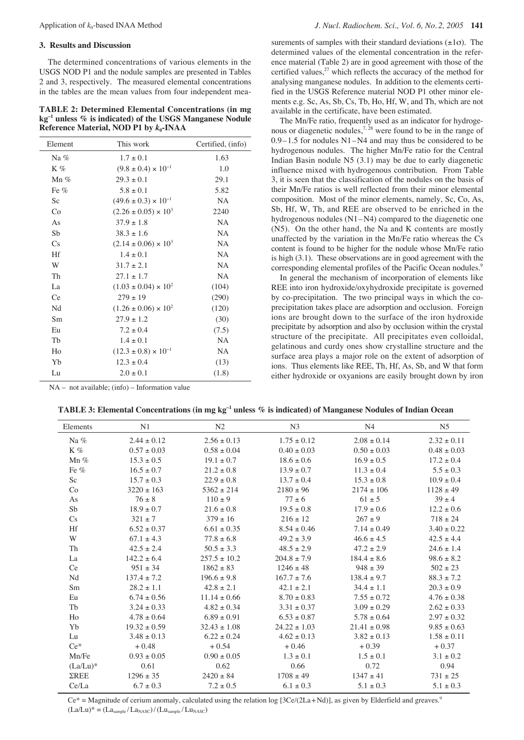#### **3. Results and Discussion**

The determined concentrations of various elements in the USGS NOD P1 and the nodule samples are presented in Tables 2 and 3, respectively. The measured elemental concentrations in the tables are the mean values from four independent mea-

**TABLE 2: Determined Elemental Concentrations (in mg kg–1 unless % is indicated) of the USGS Manganese Nodule Reference Material, NOD P1 by** *k***0-INAA**

| Element | This work                       | Certified, (info) |  |
|---------|---------------------------------|-------------------|--|
| Na $%$  | $1.7 \pm 0.1$                   | 1.63              |  |
| $K\%$   | $(9.8 \pm 0.4) \times 10^{-1}$  | 1.0               |  |
| $Mn\%$  | $29.3 \pm 0.1$                  | 29.1              |  |
| Fe $%$  | $5.8 \pm 0.1$                   | 5.82              |  |
| Sc      | $(49.6 \pm 0.3) \times 10^{-1}$ | <b>NA</b>         |  |
| Co      | $(2.26 \pm 0.05) \times 10^3$   | 2240              |  |
| As      | $37.9 \pm 1.8$                  | <b>NA</b>         |  |
| Sb      | $38.3 \pm 1.6$                  | <b>NA</b>         |  |
| Cs      | $(2.14 \pm 0.06) \times 10^3$   | <b>NA</b>         |  |
| Hf      | $1.4 \pm 0.1$                   | NA                |  |
| W       | $31.7 \pm 2.1$                  | <b>NA</b>         |  |
| Th      | $27.1 \pm 1.7$                  | <b>NA</b>         |  |
| La      | $(1.03 \pm 0.04) \times 10^{2}$ | (104)             |  |
| Ce      | $279 \pm 19$                    | (290)             |  |
| Nd      | $(1.26 \pm 0.06) \times 10^{2}$ | (120)             |  |
| Sm      | $27.9 \pm 1.2$                  | (30)              |  |
| Eu      | $7.2 \pm 0.4$                   | (7.5)             |  |
| Tb      | $1.4 \pm 0.1$                   | <b>NA</b>         |  |
| Ho      | $(12.3 \pm 0.8) \times 10^{-1}$ | NA                |  |
| Yb      | $12.3 \pm 0.4$                  | (13)              |  |
| Lu      | $2.0 \pm 0.1$                   | (1.8)             |  |

surements of samples with their standard deviations  $(\pm 1\sigma)$ . The determined values of the elemental concentration in the reference material (Table 2) are in good agreement with those of the certified values,<sup>27</sup> which reflects the accuracy of the method for analysing manganese nodules. In addition to the elements certified in the USGS Reference material NOD P1 other minor elements e.g. Sc, As, Sb, Cs, Tb, Ho, Hf, W, and Th, which are not available in the certificate, have been estimated.

The Mn/Fe ratio, frequently used as an indicator for hydrogenous or diagenetic nodules,<sup> $7, 28$ </sup> were found to be in the range of 0.9–1.5 for nodules N1–N4 and may thus be considered to be hydrogenous nodules. The higher Mn/Fe ratio for the Central Indian Basin nodule N5 (3.1) may be due to early diagenetic influence mixed with hydrogenous contribution. From Table 3, it is seen that the classification of the nodules on the basis of their Mn/Fe ratios is well reflected from their minor elemental composition. Most of the minor elements, namely, Sc, Co, As, Sb, Hf, W, Th, and REE are observed to be enriched in the hydrogenous nodules (N1–N4) compared to the diagenetic one (N5). On the other hand, the Na and K contents are mostly unaffected by the variation in the Mn/Fe ratio whereas the Cs content is found to be higher for the nodule whose Mn/Fe ratio is high (3.1). These observations are in good agreement with the corresponding elemental profiles of the Pacific Ocean nodules.<sup>9</sup>

In general the mechanism of incorporation of elements like REE into iron hydroxide/oxyhydroxide precipitate is governed by co-precipitation. The two principal ways in which the coprecipitation takes place are adsorption and occlusion. Foreign ions are brought down to the surface of the iron hydroxide precipitate by adsorption and also by occlusion within the crystal structure of the precipitate. All precipitates even colloidal, gelatinous and curdy ones show crystalline structure and the surface area plays a major role on the extent of adsorption of ions. Thus elements like REE, Th, Hf, As, Sb, and W that form either hydroxide or oxyanions are easily brought down by iron

NA – not available; (info) – Information value

|  | TABLE 3: Elemental Concentrations (in mg kg <sup>-1</sup> unless $\%$ is indicated) of Manganese Nodules of Indian Ocean |
|--|--------------------------------------------------------------------------------------------------------------------------|
|--|--------------------------------------------------------------------------------------------------------------------------|

| Elements       | N1               | N <sub>2</sub>   | N <sub>3</sub>   | N <sub>4</sub>   | N <sub>5</sub>  |
|----------------|------------------|------------------|------------------|------------------|-----------------|
| Na %           | $2.44 \pm 0.12$  | $2.56 \pm 0.13$  | $1.75 \pm 0.12$  | $2.08 \pm 0.14$  | $2.32 \pm 0.11$ |
| K%             | $0.57 \pm 0.03$  | $0.58 \pm 0.04$  | $0.40 \pm 0.03$  | $0.50 \pm 0.03$  | $0.48 \pm 0.03$ |
| Mn $%$         | $15.3 \pm 0.5$   | $19.1 \pm 0.7$   | $18.6 \pm 0.6$   | $16.9 \pm 0.5$   | $17.2 \pm 0.4$  |
| Fe $%$         | $16.5 \pm 0.7$   | $21.2 \pm 0.8$   | $13.9 \pm 0.7$   | $11.3 \pm 0.4$   | $5.5 \pm 0.3$   |
| Sc             | $15.7 \pm 0.3$   | $22.9 \pm 0.8$   | $13.7 \pm 0.4$   | $15.3 \pm 0.8$   | $10.9 \pm 0.4$  |
| Co             | $3220 \pm 163$   | $5362 \pm 214$   | $2180 \pm 96$    | $2174 \pm 106$   | $1128 \pm 49$   |
| As             | $76 \pm 8$       | $110 \pm 9$      | $77 \pm 6$       | $61 \pm 5$       | $39 \pm 4$      |
| ${\rm Sb}$     | $18.9 \pm 0.7$   | $21.6 \pm 0.8$   | $19.5 \pm 0.8$   | $17.9 \pm 0.6$   | $12.2 \pm 0.6$  |
| $\mathbf{C}$ s | $321 \pm 7$      | $379 \pm 16$     | $216 \pm 12$     | $267\pm9$        | $718 \pm 24$    |
| Hf             | $6.52 \pm 0.37$  | $6.61 \pm 0.35$  | $8.54 \pm 0.46$  | $7.14 \pm 0.49$  | $3.40 \pm 0.22$ |
| W              | $67.1 \pm 4.3$   | $77.8 \pm 6.8$   | $49.2 \pm 3.9$   | $46.6 \pm 4.5$   | $42.5 \pm 4.4$  |
| Th             | $42.5 \pm 2.4$   | $50.5 \pm 3.3$   | $48.5 \pm 2.9$   | $47.2 \pm 2.9$   | $24.6 \pm 1.4$  |
| La             | $142.2 \pm 6.4$  | $257.5 \pm 10.2$ | $204.8 \pm 7.9$  | $184.4 \pm 8.6$  | $98.6 \pm 8.2$  |
| Ce             | $951 \pm 34$     | $1862 \pm 83$    | $1246 \pm 48$    | $948 \pm 39$     | $502 \pm 23$    |
| Nd             | $137.4 \pm 7.2$  | $196.6 \pm 9.8$  | $167.7 \pm 7.6$  | $138.4 \pm 9.7$  | $88.3 \pm 7.2$  |
| Sm             | $28.2 \pm 1.1$   | $42.8 \pm 2.1$   | $42.1 \pm 2.1$   | $34.4 \pm 1.1$   | $20.3 \pm 0.9$  |
| Eu             | $6.74 \pm 0.56$  | $11.14 \pm 0.66$ | $8.70 \pm 0.83$  | $7.55 \pm 0.72$  | $4.76 \pm 0.38$ |
| Tb             | $3.24 \pm 0.33$  | $4.82 \pm 0.34$  | $3.31 \pm 0.37$  | $3.09 \pm 0.29$  | $2.62 \pm 0.33$ |
| Ho             | $4.78 \pm 0.64$  | $6.89 \pm 0.91$  | $6.53 \pm 0.87$  | $5.78 \pm 0.64$  | $2.97 \pm 0.32$ |
| Yb             | $19.32 \pm 0.59$ | $32.43 \pm 1.08$ | $24.22 \pm 1.03$ | $21.41 \pm 0.98$ | $9.85 \pm 0.63$ |
| Lu             | $3.48 \pm 0.13$  | $6.22 \pm 0.24$  | $4.62 \pm 0.13$  | $3.82 \pm 0.13$  | $1.58 \pm 0.11$ |
| $Ce^*$         | $+0.48$          | $+0.54$          | $+0.46$          | $+0.39$          | $+0.37$         |
| Mn/Fe          | $0.93 \pm 0.05$  | $0.90 \pm 0.05$  | $1.3 \pm 0.1$    | $1.5 \pm 0.1$    | $3.1 \pm 0.2$   |
| $(La/Lu)^*$    | 0.61             | 0.62             | 0.66             | 0.72             | 0.94            |
| $\Sigma$ REE   | $1296 \pm 35$    | $2420 \pm 84$    | $1708 \pm 49$    | $1347 \pm 41$    | $731 \pm 25$    |
| Ce/La          | $6.7 \pm 0.3$    | $7.2 \pm 0.5$    | $6.1 \pm 0.3$    | $5.1 \pm 0.3$    | $5.1 \pm 0.3$   |

 $Ce^*$  = Magnitude of cerium anomaly, calculated using the relation log [3Ce/(2La+Nd)], as given by Elderfield and greaves.<sup>9</sup>  $(La/Lu)^* = (La<sub>sample</sub>/La<sub>NASC</sub>)/(Lu<sub>sample</sub>/Lu<sub>NASC</sub>)$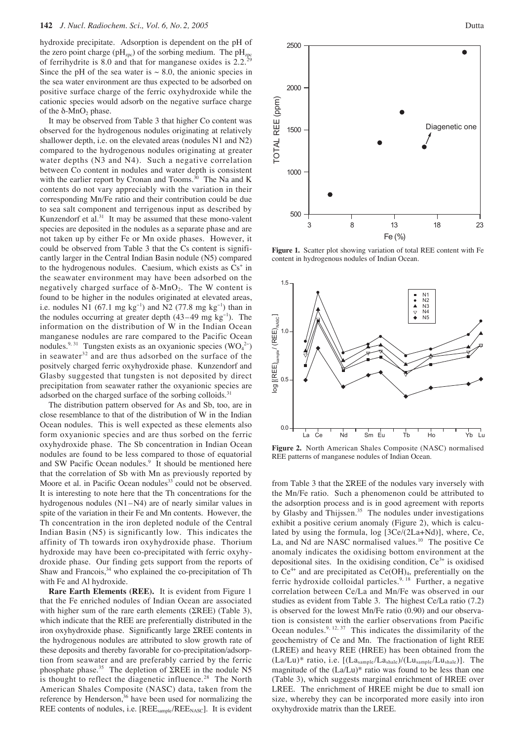hydroxide precipitate. Adsorption is dependent on the pH of the zero point charge ( $pH_{zpc}$ ) of the sorbing medium. The  $pH_{zpc}$ of ferrihydrite is 8.0 and that for manganese oxides is  $2.2<sup>3</sup>$ Since the pH of the sea water is  $\sim$  8.0, the anionic species in the sea water environment are thus expected to be adsorbed on positive surface charge of the ferric oxyhydroxide while the cationic species would adsorb on the negative surface charge of the  $\delta$ -MnO<sub>2</sub> phase.

It may be observed from Table 3 that higher Co content was observed for the hydrogenous nodules originating at relatively shallower depth, i.e. on the elevated areas (nodules N1 and N2) compared to the hydrogenous nodules originating at greater water depths (N3 and N4). Such a negative correlation between Co content in nodules and water depth is consistent with the earlier report by Cronan and Tooms. $30$  The Na and K contents do not vary appreciably with the variation in their corresponding Mn/Fe ratio and their contribution could be due to sea salt component and terrigenous input as described by Kunzendorf et al. $31$  It may be assumed that these mono-valent species are deposited in the nodules as a separate phase and are not taken up by either Fe or Mn oxide phases. However, it could be observed from Table 3 that the Cs content is significantly larger in the Central Indian Basin nodule (N5) compared to the hydrogenous nodules. Caesium, which exists as  $Cs<sup>+</sup>$  in the seawater environment may have been adsorbed on the negatively charged surface of  $δ$ -MnO<sub>2</sub>. The W content is found to be higher in the nodules originated at elevated areas, i.e. nodules N1 (67.1 mg  $kg^{-1}$ ) and N2 (77.8 mg  $kg^{-1}$ ) than in the nodules occurring at greater depth (43–49 mg kg<sup>−</sup><sup>1</sup> ). The information on the distribution of W in the Indian Ocean manganese nodules are rare compared to the Pacific Ocean nodules.<sup>9, 31</sup> Tungsten exists as an oxyanionic species  $(WO<sub>4</sub><sup>2</sup>)$ in seawater<sup>32</sup> and are thus adsorbed on the surface of the positvely charged ferric oxyhydroxide phase. Kunzendorf and Glasby suggested that tungsten is not deposited by direct precipitation from seawater rather the oxyanionic species are adsorbed on the charged surface of the sorbing colloids.<sup>31</sup>

The distribution pattern observed for As and Sb, too, are in close resemblance to that of the distribution of W in the Indian Ocean nodules. This is well expected as these elements also form oxyanionic species and are thus sorbed on the ferric oxyhydroxide phase. The Sb concentration in Indian Ocean nodules are found to be less compared to those of equatorial and SW Pacific Ocean nodules.<sup>9</sup> It should be mentioned here that the correlation of Sb with Mn as previously reported by Moore et al. in Pacific Ocean nodules<sup>33</sup> could not be observed. It is interesting to note here that the Th concentrations for the hydrogenous nodules (N1–N4) are of nearly similar values in spite of the variation in their Fe and Mn contents. However, the Th concentration in the iron depleted nodule of the Central Indian Basin (N5) is significantly low. This indicates the affinity of Th towards iron oxyhydroxide phase. Thorium hydroxide may have been co-precipitated with ferric oxyhydroxide phase. Our finding gets support from the reports of Shaw and Francois, $34$  who explained the co-precipitation of Th with Fe and Al hydroxide.

**Rare Earth Elements (REE).** It is evident from Figure 1 that the Fe enriched nodules of Indian Ocean are associated with higher sum of the rare earth elements (ΣREE) (Table 3), which indicate that the REE are preferentially distributed in the iron oxyhydroxide phase. Significantly large ΣREE contents in the hydrogenous nodules are attributed to slow growth rate of these deposits and thereby favorable for co-precipitation/adsorption from seawater and are preferably carried by the ferric phosphate phase.35 The depletion of ΣREE in the nodule N5 is thought to reflect the diagenetic influence.<sup>28</sup> The North American Shales Composite (NASC) data, taken from the reference by Henderson,  $36$  have been used for normalizing the REE contents of nodules, i.e. [REE<sub>sample</sub>/REE<sub>NASC</sub>]. It is evident



**Figure 1.** Scatter plot showing variation of total REE content with Fe content in hydrogenous nodules of Indian Ocean.



**Figure 2.** North American Shales Composite (NASC) normalised REE patterns of manganese nodules of Indian Ocean.

from Table 3 that the ΣREE of the nodules vary inversely with the Mn/Fe ratio. Such a phenomenon could be attributed to the adsorption process and is in good agreement with reports by Glasby and Thijssen.<sup>35</sup> The nodules under investigations exhibit a positive cerium anomaly (Figure 2), which is calculated by using the formula, log [3Ce/(2La+Nd)], where, Ce, La, and Nd are NASC normalised values.<sup>10</sup> The positive Ce anomaly indicates the oxidising bottom environment at the depositional sites. In the oxidising condition,  $Ce^{3+}$  is oxidised to  $Ce^{4+}$  and are precipitated as  $Ce(OH)<sub>4</sub>$ , preferentially on the ferric hydroxide colloidal particles.<sup>9, 18</sup> Further, a negative correlation between Ce/La and Mn/Fe was observed in our studies as evident from Table 3. The highest Ce/La ratio (7.2) is observed for the lowest Mn/Fe ratio (0.90) and our observation is consistent with the earlier observations from Pacific Ocean nodules.<sup>9, 12, 37</sup> This indicates the dissimilarity of the geochemistry of Ce and Mn. The fractionation of light REE (LREE) and heavy REE (HREE) has been obtained from the  $(La/Lu)^*$  ratio, i.e.  $[(La<sub>sample</sub>/La<sub>shale</sub>)/(Lu<sub>sample</sub>/Lu<sub>shale</sub>)]$ . The magnitude of the (La/Lu)\* ratio was found to be less than one (Table 3), which suggests marginal enrichment of HREE over LREE. The enrichment of HREE might be due to small ion size, whereby they can be incorporated more easily into iron oxyhydroxide matrix than the LREE.